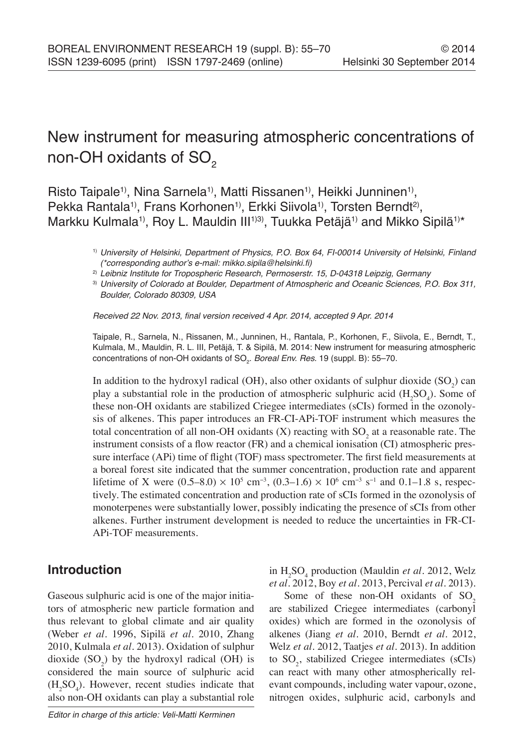# New instrument for measuring atmospheric concentrations of non-OH oxidants of  $SO<sub>2</sub>$

Risto Taipale<sup>1</sup>, Nina Sarnela<sup>1</sup>, Matti Rissanen<sup>1</sup>, Heikki Junninen<sup>1</sup>, Pekka Rantala<sup>1)</sup>, Frans Korhonen<sup>1)</sup>, Erkki Siivola<sup>1)</sup>, Torsten Berndt<sup>2)</sup>, Markku Kulmala<sup>1)</sup>, Roy L. Mauldin III<sup>1)3)</sup>, Tuukka Petäjä<sup>1)</sup> and Mikko Sipilä<sup>1)\*</sup>

> 1) *University of Helsinki, Department of Physics, P.O. Box 64, FI-00014 University of Helsinki, Finland*  (\*corresponding author's e-mail: mikko.sipila@helsinki.fi)

2) *Leibniz Institute for Tropospheric Research, Permoserstr. 15, D-04318 Leipzig, Germany*

3) *University of Colorado at Boulder, Department of Atmospheric and Oceanic Sciences, P.O. Box 311, Boulder, Colorado 80309, USA*

Received 22 Nov. 2013, final version received 4 Apr. 2014, accepted 9 Apr. 2014

Taipale, R., Sarnela, N., Rissanen, M., Junninen, H., Rantala, P., Korhonen, F., Siivola, E., Berndt, T., Kulmala, M., Mauldin, R. L. III, Petäjä, T. & Sipilä, M. 2014: New instrument for measuring atmospheric concentrations of non-OH oxidants of SO<sub>2</sub>. *Boreal Env. Res.* 19 (suppl. B): 55–70.

In addition to the hydroxyl radical (OH), also other oxidants of sulphur dioxide  $(SO_2)$  can play a substantial role in the production of atmospheric sulphuric acid  $(H_2SO_4)$ . Some of these non-OH oxidants are stabilized Criegee intermediates (sCIs) formed in the ozonolysis of alkenes. This paper introduces an FR-CI-APi-TOF instrument which measures the total concentration of all non-OH oxidants  $(X)$  reacting with  $SO_2$  at a reasonable rate. The instrument consists of a flow reactor (FR) and a chemical ionisation (CI) atmospheric pressure interface (APi) time of flight (TOF) mass spectrometer. The first field measurements at a boreal forest site indicated that the summer concentration, production rate and apparent lifetime of X were  $(0.5-8.0) \times 10^5$  cm<sup>-3</sup>,  $(0.3-1.6) \times 10^6$  cm<sup>-3</sup> s<sup>-1</sup> and 0.1–1.8 s, respectively. The estimated concentration and production rate of sCIs formed in the ozonolysis of monoterpenes were substantially lower, possibly indicating the presence of sCIs from other alkenes. Further instrument development is needed to reduce the uncertainties in FR-CI-APi-TOF measurements.

## **Introduction**

Gaseous sulphuric acid is one of the major initiators of atmospheric new particle formation and thus relevant to global climate and air quality (Weber *et al*. 1996, Sipilä *et al*. 2010, Zhang 2010, Kulmala *et al*. 2013). Oxidation of sulphur dioxide  $(SO_2)$  by the hydroxyl radical  $(OH)$  is considered the main source of sulphuric acid  $(H_2SO_4)$ . However, recent studies indicate that also non-OH oxidants can play a substantial role

in H<sub>2</sub>SO<sub>4</sub> production (Mauldin *et al.* 2012, Welz *et al*. 2012, Boy *et al*. 2013, Percival *et al*. 2013).

Some of these non-OH oxidants of  $SO<sub>2</sub>$ are stabilized Criegee intermediates (carbonyl oxides) which are formed in the ozonolysis of alkenes (Jiang *et al*. 2010, Berndt *et al*. 2012, Welz *et al*. 2012, Taatjes *et al*. 2013). In addition to  $SO_2$ , stabilized Criegee intermediates (sCIs) can react with many other atmospherically relevant compounds, including water vapour, ozone, nitrogen oxides, sulphuric acid, carbonyls and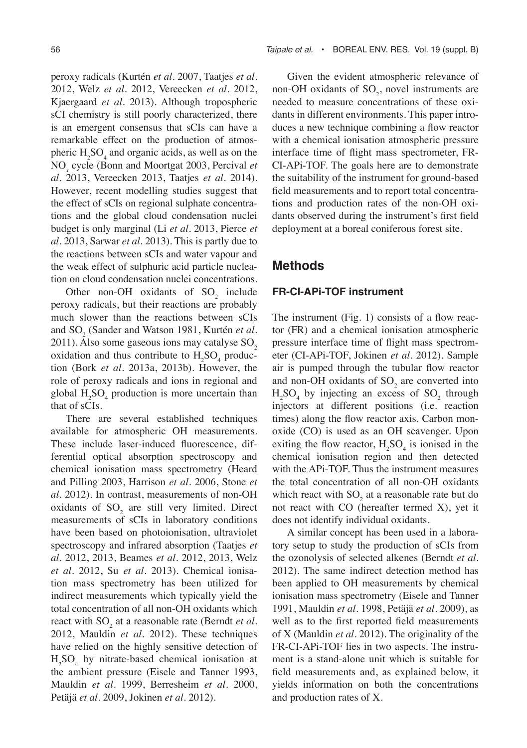peroxy radicals (Kurtén *et al*. 2007, Taatjes *et al*. 2012, Welz *et al*. 2012, Vereecken *et al*. 2012, Kjaergaard *et al*. 2013). Although tropospheric sCI chemistry is still poorly characterized, there is an emergent consensus that sCIs can have a remarkable effect on the production of atmospheric  $H_2SO_4$  and organic acids, as well as on the NO*<sup>x</sup>* cycle (Bonn and Moortgat 2003, Percival *et al*. 2013, Vereecken 2013, Taatjes *et al*. 2014). However, recent modelling studies suggest that the effect of sCIs on regional sulphate concentrations and the global cloud condensation nuclei budget is only marginal (Li *et al*. 2013, Pierce *et al*. 2013, Sarwar *et al*. 2013). This is partly due to the reactions between sCIs and water vapour and the weak effect of sulphuric acid particle nucleation on cloud condensation nuclei concentrations.

Other non-OH oxidants of  $SO_2$  include peroxy radicals, but their reactions are probably much slower than the reactions between sCIs and SO<sub>2</sub> (Sander and Watson 1981, Kurtén *et al*.  $2011$ ). Also some gaseous ions may catalyse SO<sub>2</sub> oxidation and thus contribute to  $H_2SO_4$  production (Bork *et al*. 2013a, 2013b). However, the role of peroxy radicals and ions in regional and global  $H_2SO_4$  production is more uncertain than that of sCIs.

There are several established techniques available for atmospheric OH measurements. These include laser-induced fluorescence, differential optical absorption spectroscopy and chemical ionisation mass spectrometry (Heard and Pilling 2003, Harrison *et al*. 2006, Stone *et al*. 2012). In contrast, measurements of non-OH oxidants of  $SO_2$  are still very limited. Direct measurements of sCIs in laboratory conditions have been based on photoionisation, ultraviolet spectroscopy and infrared absorption (Taatjes *et al*. 2012, 2013, Beames *et al*. 2012, 2013, Welz *et al.* 2012, Su *et al*. 2013). Chemical ionisation mass spectrometry has been utilized for indirect measurements which typically yield the total concentration of all non-OH oxidants which react with SO<sub>2</sub> at a reasonable rate (Berndt *et al*. 2012, Mauldin *et al*. 2012). These techniques have relied on the highly sensitive detection of  $H<sub>2</sub>SO<sub>4</sub>$  by nitrate-based chemical ionisation at the ambient pressure (Eisele and Tanner 1993, Mauldin *et al*. 1999, Berresheim *et al*. 2000, Petäjä *et al*. 2009, Jokinen *et al*. 2012).

Given the evident atmospheric relevance of non-OH oxidants of  $SO_2$ , novel instruments are needed to measure concentrations of these oxidants in different environments. This paper introduces a new technique combining a flow reactor with a chemical ionisation atmospheric pressure interface time of flight mass spectrometer, FR-CI-APi-TOF. The goals here are to demonstrate the suitability of the instrument for ground-based field measurements and to report total concentrations and production rates of the non-OH oxidants observed during the instrument's first field deployment at a boreal coniferous forest site.

### **Methods**

#### **FR-CI-APi-TOF instrument**

The instrument (Fig. 1) consists of a flow reactor (FR) and a chemical ionisation atmospheric pressure interface time of flight mass spectrometer (CI-APi-TOF, Jokinen *et al.* 2012). Sample air is pumped through the tubular flow reactor and non-OH oxidants of  $SO_2$  are converted into  $H_2SO_4$  by injecting an excess of  $SO_2$  through injectors at different positions (i.e. reaction times) along the flow reactor axis. Carbon monoxide (CO) is used as an OH scavenger. Upon exiting the flow reactor,  $H_2SO_4$  is ionised in the chemical ionisation region and then detected with the APi-TOF. Thus the instrument measures the total concentration of all non-OH oxidants which react with  $SO_2$  at a reasonable rate but do not react with CO (hereafter termed X), yet it does not identify individual oxidants.

A similar concept has been used in a laboratory setup to study the production of sCIs from the ozonolysis of selected alkenes (Berndt *et al*. 2012). The same indirect detection method has been applied to OH measurements by chemical ionisation mass spectrometry (Eisele and Tanner 1991, Mauldin *et al*. 1998, Petäjä *et al*. 2009), as well as to the first reported field measurements of X (Mauldin *et al*. 2012). The originality of the FR-CI-APi-TOF lies in two aspects. The instrument is a stand-alone unit which is suitable for field measurements and, as explained below, it yields information on both the concentrations and production rates of X.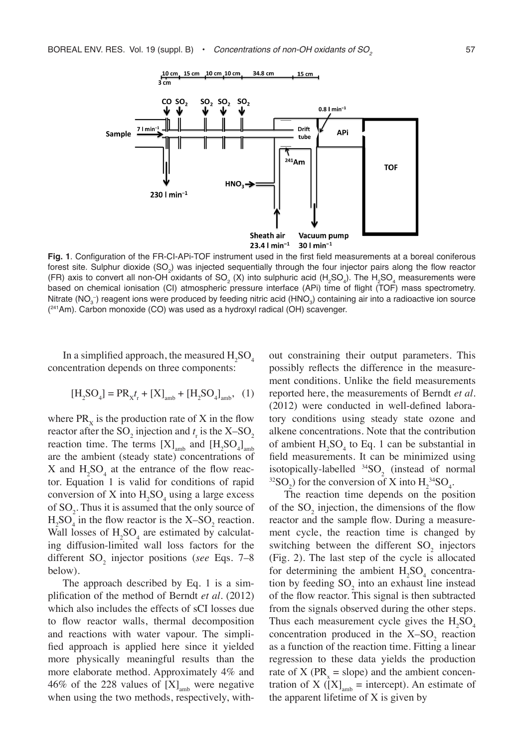

**Fig. 1**. Configuration of the FR-CI-APi-TOF instrument used in the first field measurements at a boreal coniferous forest site. Sulphur dioxide (SO<sub>2</sub>) was injected sequentially through the four injector pairs along the flow reactor (FR) axis to convert all non-OH oxidants of SO<sub>2</sub> (X) into sulphuric acid (H<sub>2</sub>SO<sub>4</sub>). The H<sub>2</sub>SO<sub>4</sub> measurements were based on chemical ionisation (CI) atmospheric pressure interface (APi) time of flight (TOF) mass spectrometry. Nitrate (NO<sub>3</sub>-) reagent ions were produced by feeding nitric acid (HNO<sub>3</sub>) containing air into a radioactive ion source (241Am). Carbon monoxide (CO) was used as a hydroxyl radical (OH) scavenger.

In a simplified approach, the measured  $H_2SO_4$ concentration depends on three components:

$$
[H_2SO_4] = PR_{X^T}t + [X]_{amb} + [H_2SO_4]_{amb}, (1)
$$

where  $PR_x$  is the production rate of X in the flow reactor after the SO<sub>2</sub> injection and  $t_r$  is the X–SO<sub>2</sub> reaction time. The terms  $[X]_{\text{amb}}$  and  $[H_2SO_4]_{\text{amb}}$ are the ambient (steady state) concentrations of X and  $H_2SO_4$  at the entrance of the flow reactor. Equation 1 is valid for conditions of rapid conversion of X into  $H_2SO_4$  using a large excess of  $SO_2$ . Thus it is assumed that the only source of  $H_2SO_4$  in the flow reactor is the  $X$ -SO<sub>2</sub> reaction. Wall losses of  $H_2SO_4$  are estimated by calculating diffusion-limited wall loss factors for the different SO<sub>2</sub> injector positions (*see* Eqs. 7–8 below).

The approach described by Eq. 1 is a simplification of the method of Berndt *et al*. (2012) which also includes the effects of sCI losses due to flow reactor walls, thermal decomposition and reactions with water vapour. The simplified approach is applied here since it yielded more physically meaningful results than the more elaborate method. Approximately 4% and 46% of the 228 values of  $[X]_{amb}$  were negative when using the two methods, respectively, without constraining their output parameters. This possibly reflects the difference in the measurement conditions. Unlike the field measurements reported here, the measurements of Berndt *et al.* (2012) were conducted in well-defined laboratory conditions using steady state ozone and alkene concentrations. Note that the contribution of ambient  $H_2SO_4$  to Eq. 1 can be substantial in field measurements. It can be minimized using isotopically-labelled  $^{34}SO_2$  (instead of normal <sup>32</sup>SO<sub>2</sub>) for the conversion of X into  $H_2^{34}SO_4$ .

The reaction time depends on the position of the  $SO_2$  injection, the dimensions of the flow reactor and the sample flow. During a measurement cycle, the reaction time is changed by switching between the different  $SO_2$  injectors (Fig. 2). The last step of the cycle is allocated for determining the ambient  $H_2SO_4$  concentration by feeding  $SO_2$  into an exhaust line instead of the flow reactor. This signal is then subtracted from the signals observed during the other steps. Thus each measurement cycle gives the  $H_2SO_4$ concentration produced in the  $X-SO<sub>2</sub>$  reaction as a function of the reaction time. Fitting a linear regression to these data yields the production rate of X ( $PR_x$  = slope) and the ambient concentration of X ( $[X]_{amb}$  = intercept). An estimate of the apparent lifetime of X is given by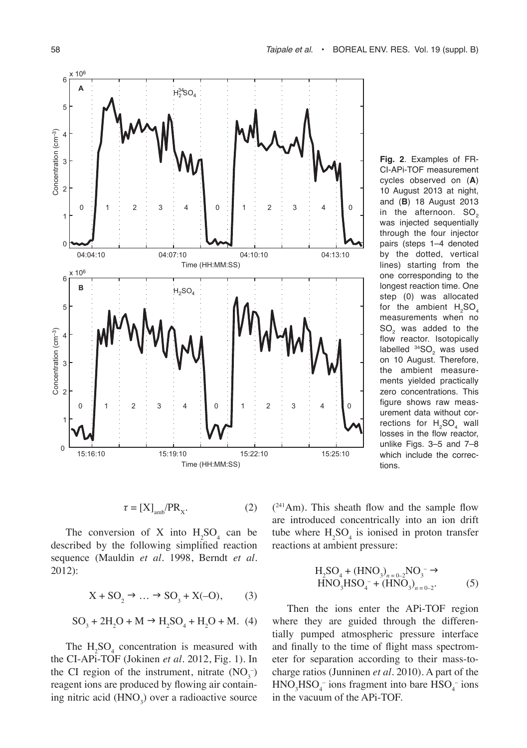

**Fig. 2**. Examples of FR-CI-APi-TOF measurement cycles observed on (**A**) 10 August 2013 at night, and (**B**) 18 August 2013 in the afternoon.  $SO<sub>2</sub>$ was injected sequentially through the four injector pairs (steps 1–4 denoted by the dotted, vertical lines) starting from the one corresponding to the longest reaction time. One step (0) was allocated for the ambient  $H_2SO_4$ measurements when no SO<sub>2</sub> was added to the flow reactor. Isotopically labelled  $^{34} \text{SO}_2$  was used on 10 August. Therefore, the ambient measurements yielded practically zero concentrations. This figure shows raw measurement data without corrections for  $H_2SO_4$  wall losses in the flow reactor, unlike Figs. 3–5 and 7–8 which include the corrections.

$$
\tau = [X]_{amb}/PR_x.
$$
 (2)

The conversion of X into  $H_2SO_4$  can be described by the following simplified reaction sequence (Mauldin *et al*. 1998, Berndt *et al*. 2012):

$$
X + SO_2 \rightarrow \dots \rightarrow SO_3 + X(-O), \tag{3}
$$

$$
SO_3 + 2H_2O + M \rightarrow H_2SO_4 + H_2O + M.
$$
 (4)

The  $H_2SO_4$  concentration is measured with the CI-APi-TOF (Jokinen *et al*. 2012, Fig. 1). In the CI region of the instrument, nitrate  $(NO<sub>3</sub><sup>-</sup>)$ reagent ions are produced by flowing air containing nitric acid  $(HNO<sub>3</sub>)$  over a radioactive source

( <sup>241</sup>Am). This sheath flow and the sample flow are introduced concentrically into an ion drift tube where  $H_2SO_4$  is ionised in proton transfer reactions at ambient pressure:

$$
H_2SO_4 + (HNO_3)_{n=0-2}NO_3^- \to
$$
  
HNO<sub>3</sub>HSO<sub>4</sub><sup>-</sup> + (HNO<sub>3</sub>)\_{n=0-2}°. (5)

Then the ions enter the APi-TOF region where they are guided through the differentially pumped atmospheric pressure interface and finally to the time of flight mass spectrometer for separation according to their mass-tocharge ratios (Junninen *et al*. 2010). A part of the  $HNO<sub>3</sub>HSO<sub>4</sub><sup>-</sup> ions fragment into bare  $HSO<sub>4</sub><sup>-</sup> ions$$ in the vacuum of the APi-TOF.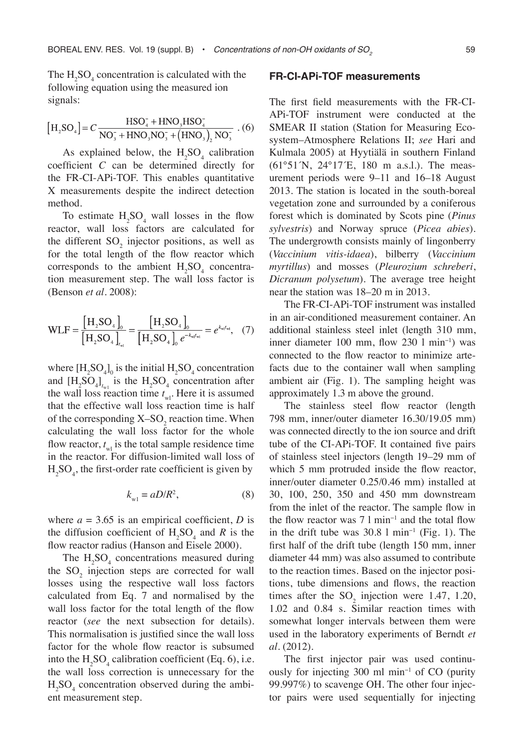The  $H_2SO_4$  concentration is calculated with the following equation using the measured ion signals:

$$
[H_2SO_4] = C \frac{HSO_4^+ + HNO_3 + SO_4^-}{NO_3^- + HNO_3 + O_3^- + (HNO_3), NO_3^-} \cdot (6)
$$

As explained below, the  $H_2SO_4$  calibration coefficient *C* can be determined directly for the FR-CI-APi-TOF. This enables quantitative X measurements despite the indirect detection method.

To estimate  $H_2SO_4$  wall losses in the flow reactor, wall loss factors are calculated for the different  $SO_2$  injector positions, as well as for the total length of the flow reactor which corresponds to the ambient  $H_2SO_4$  concentration measurement step. The wall loss factor is (Benson *et al*. 2008):

$$
WLF = \frac{[H_2SO_4]_0}{[H_2SO_4]_{t_{\text{wt}}} } = \frac{[H_2SO_4]_0}{[H_2SO_4]_0 e^{-k_{\text{wt}}}} = e^{k_{\text{wt}}}, \quad (7)
$$

where  $[H_2SO_4]_0$  is the initial  $H_2SO_4$  concentration and  $[H_2SO_4]_{t_{w1}}$  is the  $H_2SO_4$  concentration after the wall loss reaction time  $t_{\text{wl}}$ . Here it is assumed that the effective wall loss reaction time is half of the corresponding  $X$ -SO<sub>2</sub> reaction time. When calculating the wall loss factor for the whole flow reactor,  $t_{\text{wl}}$  is the total sample residence time in the reactor. For diffusion-limited wall loss of  $H_2SO_4$ , the first-order rate coefficient is given by

$$
k_{\rm w1} = aD/R^2,\tag{8}
$$

where  $a = 3.65$  is an empirical coefficient, *D* is the diffusion coefficient of  $H_2SO_4$  and R is the flow reactor radius (Hanson and Eisele 2000).

The  $H_2SO_4$  concentrations measured during the  $SO_2$  injection steps are corrected for wall losses using the respective wall loss factors calculated from Eq. 7 and normalised by the wall loss factor for the total length of the flow reactor (*see* the next subsection for details). This normalisation is justified since the wall loss factor for the whole flow reactor is subsumed into the  $H_2SO_4$  calibration coefficient (Eq. 6), i.e. the wall loss correction is unnecessary for the  $H<sub>2</sub>SO<sub>4</sub>$  concentration observed during the ambient measurement step.

#### **FR-CI-APi-TOF measurements**

The first field measurements with the FR-CI-APi-TOF instrument were conducted at the SMEAR II station (Station for Measuring Ecosystem–Atmosphere Relations II; *see* Hari and Kulmala 2005) at Hyytiälä in southern Finland (61°51´N, 24°17´E, 180 m a.s.l.). The measurement periods were 9–11 and 16–18 August 2013. The station is located in the south-boreal vegetation zone and surrounded by a coniferous forest which is dominated by Scots pine (*Pinus sylvestris*) and Norway spruce (*Picea abies*). The undergrowth consists mainly of lingonberry (*Vaccinium vitis-idaea*), bilberry (*Vaccinium myrtillus*) and mosses (*Pleurozium schreberi*, *Dicranum polysetum*). The average tree height near the station was 18–20 m in 2013.

The FR-CI-APi-TOF instrument was installed in an air-conditioned measurement container. An additional stainless steel inlet (length 310 mm, inner diameter 100 mm, flow 230 l min−1) was connected to the flow reactor to minimize artefacts due to the container wall when sampling ambient air (Fig. 1). The sampling height was approximately 1.3 m above the ground.

The stainless steel flow reactor (length 798 mm, inner/outer diameter 16.30/19.05 mm) was connected directly to the ion source and drift tube of the CI-APi-TOF. It contained five pairs of stainless steel injectors (length 19–29 mm of which 5 mm protruded inside the flow reactor, inner/outer diameter 0.25/0.46 mm) installed at 30, 100, 250, 350 and 450 mm downstream from the inlet of the reactor. The sample flow in the flow reactor was 7 l min−1 and the total flow in the drift tube was 30.8 l min−1 (Fig. 1). The first half of the drift tube (length 150 mm, inner diameter 44 mm) was also assumed to contribute to the reaction times. Based on the injector positions, tube dimensions and flows, the reaction times after the  $SO_2$  injection were 1.47, 1.20, 1.02 and 0.84 s. Similar reaction times with somewhat longer intervals between them were used in the laboratory experiments of Berndt *et al*. (2012).

The first injector pair was used continuously for injecting 300 ml min−1 of CO (purity 99.997%) to scavenge OH. The other four injector pairs were used sequentially for injecting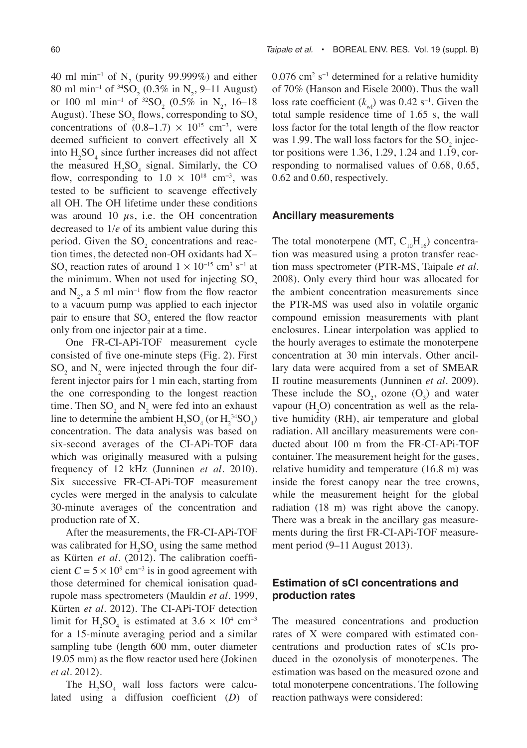40 ml min<sup>-1</sup> of  $N_2$  (purity 99.999%) and either 80 ml min<sup>-1</sup> of <sup>34</sup>SO<sub>2</sub> (0.3% in N<sub>2</sub>, 9–11 August) or 100 ml min<sup>-1</sup> of <sup>32</sup>SO<sub>2</sub> (0.5% in N<sub>2</sub>, 16–18 August). These  $\text{SO}_2$  flows, corresponding to  $\text{SO}_2$ concentrations of  $(0.8-1.7) \times 10^{15}$  cm<sup>-3</sup>, were deemed sufficient to convert effectively all X into  $H_2SO_4$  since further increases did not affect the measured  $H_2SO_4$  signal. Similarly, the CO flow, corresponding to  $1.0 \times 10^{18}$  cm<sup>-3</sup>, was tested to be sufficient to scavenge effectively all OH. The OH lifetime under these conditions was around 10  $\mu$ s, i.e. the OH concentration decreased to 1/*e* of its ambient value during this period. Given the  $SO_2$  concentrations and reaction times, the detected non-OH oxidants had X– SO<sub>2</sub> reaction rates of around  $1 \times 10^{-15}$  cm<sup>3</sup> s<sup>-1</sup> at the minimum. When not used for injecting  $SO<sub>2</sub>$ and  $N_2$ , a 5 ml min<sup>-1</sup> flow from the flow reactor to a vacuum pump was applied to each injector pair to ensure that  $SO_2$  entered the flow reactor only from one injector pair at a time.

One FR-CI-APi-TOF measurement cycle consisted of five one-minute steps (Fig. 2). First  $SO_2$  and  $N_2$  were injected through the four different injector pairs for 1 min each, starting from the one corresponding to the longest reaction time. Then  $SO_2$  and  $N_2$  were fed into an exhaust line to determine the ambient  $H_2SO_4$  (or  $H_2^{34}SO_4$ ) concentration. The data analysis was based on six-second averages of the CI-APi-TOF data which was originally measured with a pulsing frequency of 12 kHz (Junninen *et al*. 2010). Six successive FR-CI-APi-TOF measurement cycles were merged in the analysis to calculate 30-minute averages of the concentration and production rate of X.

After the measurements, the FR-CI-APi-TOF was calibrated for  $H_2SO_4$  using the same method as Kürten *et al*. (2012). The calibration coefficient  $C = 5 \times 10^9$  cm<sup>-3</sup> is in good agreement with those determined for chemical ionisation quadrupole mass spectrometers (Mauldin *et al*. 1999, Kürten *et al*. 2012). The CI-APi-TOF detection limit for  $H_2SO_4$  is estimated at 3.6 × 10<sup>4</sup> cm<sup>-3</sup> for a 15-minute averaging period and a similar sampling tube (length 600 mm, outer diameter 19.05 mm) as the flow reactor used here (Jokinen *et al*. 2012).

The  $H_2SO_4$  wall loss factors were calculated using a diffusion coefficient (*D*) of

 $0.076$  cm<sup>2</sup> s<sup>-1</sup> determined for a relative humidity of 70% (Hanson and Eisele 2000). Thus the wall loss rate coefficient ( $k_{\text{wl}}$ ) was 0.42 s<sup>-1</sup>. Given the total sample residence time of 1.65 s, the wall loss factor for the total length of the flow reactor was 1.99. The wall loss factors for the  $SO_2$  injector positions were 1.36, 1.29, 1.24 and 1.19, corresponding to normalised values of 0.68, 0.65, 0.62 and 0.60, respectively.

#### **Ancillary measurements**

The total monoterpene (MT,  $C_{10}H_{16}$ ) concentration was measured using a proton transfer reaction mass spectrometer (PTR-MS, Taipale *et al*. 2008). Only every third hour was allocated for the ambient concentration measurements since the PTR-MS was used also in volatile organic compound emission measurements with plant enclosures. Linear interpolation was applied to the hourly averages to estimate the monoterpene concentration at 30 min intervals. Other ancillary data were acquired from a set of SMEAR II routine measurements (Junninen *et al*. 2009). These include the  $SO_2$ , ozone  $(O_3)$  and water vapour  $(H_2O)$  concentration as well as the relative humidity (RH), air temperature and global radiation. All ancillary measurements were conducted about 100 m from the FR-CI-APi-TOF container. The measurement height for the gases, relative humidity and temperature (16.8 m) was inside the forest canopy near the tree crowns, while the measurement height for the global radiation (18 m) was right above the canopy. There was a break in the ancillary gas measurements during the first FR-CI-APi-TOF measurement period (9–11 August 2013).

## **Estimation of sCI concentrations and production rates**

The measured concentrations and production rates of X were compared with estimated concentrations and production rates of sCIs produced in the ozonolysis of monoterpenes. The estimation was based on the measured ozone and total monoterpene concentrations. The following reaction pathways were considered: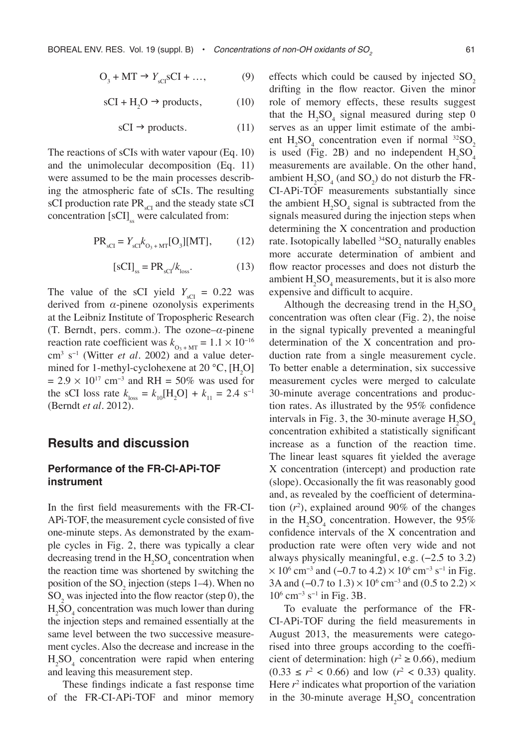$$
O_3 + MT \to Y_{\text{sCl}} \text{sCl} + \dots,\tag{9}
$$

$$
sCI + H_2O \rightarrow products, \qquad (10)
$$

$$
sCI \rightarrow products. \tag{11}
$$

The reactions of sCIs with water vapour (Eq. 10) and the unimolecular decomposition (Eq. 11) were assumed to be the main processes describing the atmospheric fate of sCIs. The resulting sCI production rate PR<sub>sCI</sub> and the steady state sCI concentration  $[sCI]_{ss}$  were calculated from:

$$
PR_{\rm sCI} = Y_{\rm sCI} k_{\rm O_3+MT} [O_3][\rm MT],\tag{12}
$$

$$
[sCI]_{ss} = PR_{sCI}/k_{loss}.
$$
 (13)

The value of the sCI yield  $Y_{\text{sCI}} = 0.22$  was derived from *α*-pinene ozonolysis experiments at the Leibniz Institute of Tropospheric Research (T. Berndt, pers. comm.). The ozone–*α*-pinene reaction rate coefficient was  $k_{\text{O}_3 + \text{MT}} = 1.1 \times 10^{-16}$ cm<sup>3</sup> s−1 (Witter *et al*. 2002) and a value determined for 1-methyl-cyclohexene at 20  $\degree$ C, [H<sub>2</sub>O]  $= 2.9 \times 10^{17}$  cm<sup>-3</sup> and RH = 50% was used for the sCI loss rate  $k_{\text{loss}} = k_{10}[\text{H}_2\text{O}] + k_{11} = 2.4 \text{ s}^{-1}$ (Berndt *et al*. 2012).

## **Results and discussion**

#### **Performance of the FR-CI-APi-TOF instrument**

In the first field measurements with the FR-CI-APi-TOF, the measurement cycle consisted of five one-minute steps. As demonstrated by the example cycles in Fig. 2, there was typically a clear decreasing trend in the  $H_2SO_4$  concentration when the reaction time was shortened by switching the position of the  $SO_2$  injection (steps 1–4). When no  $SO<sub>2</sub>$  was injected into the flow reactor (step 0), the  $H<sub>2</sub>SO<sub>4</sub>$  concentration was much lower than during the injection steps and remained essentially at the same level between the two successive measurement cycles. Also the decrease and increase in the  $H<sub>2</sub>SO<sub>4</sub>$  concentration were rapid when entering and leaving this measurement step.

These findings indicate a fast response time of the FR-CI-APi-TOF and minor memory effects which could be caused by injected  $SO<sub>2</sub>$ drifting in the flow reactor. Given the minor role of memory effects, these results suggest that the  $H_2SO_4$  signal measured during step 0 serves as an upper limit estimate of the ambient  $H_2SO_4$  concentration even if normal <sup>32</sup>SO<sub>2</sub> is used (Fig. 2B) and no independent  $H_2SO_4$ measurements are available. On the other hand, ambient  $H_2SO_4$  (and  $SO_2$ ) do not disturb the FR-CI-APi-TOF measurements substantially since the ambient  $H_2SO_4$  signal is subtracted from the signals measured during the injection steps when determining the X concentration and production rate. Isotopically labelled  $^{34}$ SO<sub>2</sub> naturally enables more accurate determination of ambient and flow reactor processes and does not disturb the ambient  $H_2SO_4$  measurements, but it is also more expensive and difficult to acquire.

Although the decreasing trend in the  $H_2SO_4$ concentration was often clear (Fig. 2), the noise in the signal typically prevented a meaningful determination of the X concentration and production rate from a single measurement cycle. To better enable a determination, six successive measurement cycles were merged to calculate 30-minute average concentrations and production rates. As illustrated by the 95% confidence intervals in Fig. 3, the 30-minute average  $H_2SO_4$ concentration exhibited a statistically significant increase as a function of the reaction time. The linear least squares fit yielded the average X concentration (intercept) and production rate (slope). Occasionally the fit was reasonably good and, as revealed by the coefficient of determination  $(r^2)$ , explained around 90% of the changes in the  $H_2SO_4$  concentration. However, the 95% confidence intervals of the X concentration and production rate were often very wide and not always physically meaningful, e.g. (−2.5 to 3.2)  $\times$  10<sup>6</sup> cm<sup>-3</sup> and (-0.7 to 4.2)  $\times$  10<sup>6</sup> cm<sup>-3</sup> s<sup>-1</sup> in Fig. 3A and (–0.7 to  $1.3$ ) ×  $10<sup>6</sup>$  cm<sup>-3</sup> and (0.5 to 2.2) × 10<sup>6</sup> cm−3 s−1 in Fig. 3B.

To evaluate the performance of the FR-CI-APi-TOF during the field measurements in August 2013, the measurements were categorised into three groups according to the coefficient of determination: high ( $r^2 \ge 0.66$ ), medium  $(0.33 \le r^2 < 0.66)$  and low  $(r^2 < 0.33)$  quality. Here  $r<sup>2</sup>$  indicates what proportion of the variation in the 30-minute average  $H_2SO_4$  concentration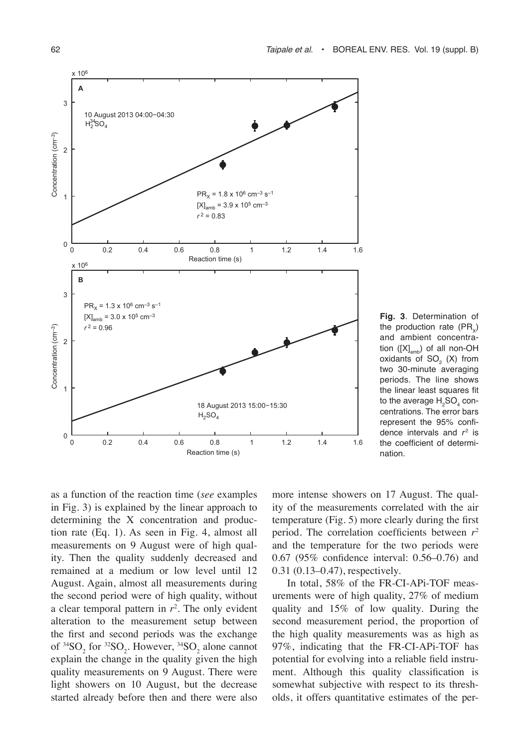

**Fig. 3**. Determination of the production rate  $(PR<sub>v</sub>)$ and ambient concentration  $([X]_{amb})$  of all non-OH oxidants of  $SO<sub>2</sub>$  (X) from two 30-minute averaging periods. The line shows the linear least squares fit to the average  $\mathsf{H_2SO_4}$  concentrations. The error bars represent the 95% confidence intervals and  $r^2$  is the coefficient of determination.

as a function of the reaction time (*see* examples in Fig. 3) is explained by the linear approach to determining the X concentration and production rate (Eq. 1). As seen in Fig. 4, almost all measurements on 9 August were of high quality. Then the quality suddenly decreased and remained at a medium or low level until 12 August. Again, almost all measurements during the second period were of high quality, without a clear temporal pattern in *r*<sup>2</sup> . The only evident alteration to the measurement setup between the first and second periods was the exchange of  ${}^{34}SO_2$  for  ${}^{32}SO_2$ . However,  ${}^{34}SO_2$  alone cannot explain the change in the quality given the high quality measurements on 9 August. There were light showers on 10 August, but the decrease started already before then and there were also

more intense showers on 17 August. The quality of the measurements correlated with the air temperature (Fig. 5) more clearly during the first period. The correlation coefficients between *r*<sup>2</sup> and the temperature for the two periods were 0.67 (95% confidence interval: 0.56–0.76) and 0.31 (0.13–0.47), respectively.

In total, 58% of the FR-CI-APi-TOF measurements were of high quality, 27% of medium quality and 15% of low quality. During the second measurement period, the proportion of the high quality measurements was as high as 97%, indicating that the FR-CI-APi-TOF has potential for evolving into a reliable field instrument. Although this quality classification is somewhat subjective with respect to its thresholds, it offers quantitative estimates of the per-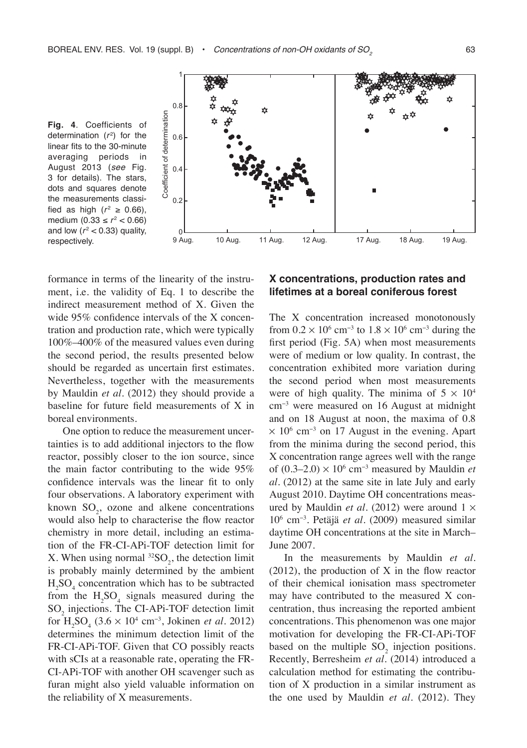



formance in terms of the linearity of the instrument, i.e. the validity of Eq. 1 to describe the indirect measurement method of X. Given the wide 95% confidence intervals of the X concentration and production rate, which were typically 100%–400% of the measured values even during the second period, the results presented below should be regarded as uncertain first estimates. Nevertheless, together with the measurements by Mauldin *et al*. (2012) they should provide a baseline for future field measurements of X in boreal environments.

One option to reduce the measurement uncertainties is to add additional injectors to the flow reactor, possibly closer to the ion source, since the main factor contributing to the wide 95% confidence intervals was the linear fit to only four observations. A laboratory experiment with known  $SO_2$ , ozone and alkene concentrations would also help to characterise the flow reactor chemistry in more detail, including an estimation of the FR-CI-APi-TOF detection limit for X. When using normal  ${}^{32}SO_2$ , the detection limit is probably mainly determined by the ambient  $H<sub>2</sub>SO<sub>4</sub>$  concentration which has to be subtracted from the  $H_2SO_4$  signals measured during the  $SO_2$  injections. The CI-APi-TOF detection limit for  $H_2SO_4$  (3.6 × 10<sup>4</sup> cm<sup>-3</sup>, Jokinen *et al.* 2012) determines the minimum detection limit of the FR-CI-APi-TOF. Given that CO possibly reacts with sCIs at a reasonable rate, operating the FR-CI-APi-TOF with another OH scavenger such as furan might also yield valuable information on the reliability of X measurements.

#### **X concentrations, production rates and lifetimes at a boreal coniferous forest**

The X concentration increased monotonously from  $0.2 \times 10^6$  cm<sup>-3</sup> to  $1.8 \times 10^6$  cm<sup>-3</sup> during the first period (Fig. 5A) when most measurements were of medium or low quality. In contrast, the concentration exhibited more variation during the second period when most measurements were of high quality. The minima of  $5 \times 10^4$ cm−3 were measured on 16 August at midnight and on 18 August at noon, the maxima of 0.8  $\times$  10<sup>6</sup> cm<sup>-3</sup> on 17 August in the evening. Apart from the minima during the second period, this X concentration range agrees well with the range of  $(0.3-2.0) \times 10^6$  cm<sup>-3</sup> measured by Mauldin *et al*. (2012) at the same site in late July and early August 2010. Daytime OH concentrations measured by Mauldin *et al.* (2012) were around  $1 \times$ 10<sup>6</sup> cm−3. Petäjä *et al*. (2009) measured similar daytime OH concentrations at the site in March– June 2007.

In the measurements by Mauldin *et al*. (2012), the production of X in the flow reactor of their chemical ionisation mass spectrometer may have contributed to the measured X concentration, thus increasing the reported ambient concentrations. This phenomenon was one major motivation for developing the FR-CI-APi-TOF based on the multiple  $SO_2$  injection positions. Recently, Berresheim *et al*. (2014) introduced a calculation method for estimating the contribution of X production in a similar instrument as the one used by Mauldin *et al*. (2012). They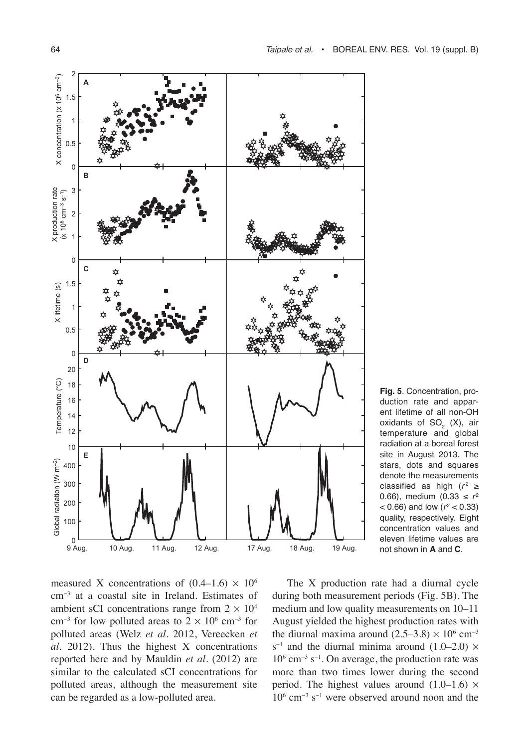

**Fig. 5**. Concentration, production rate and apparent lifetime of all non-OH oxidants of  $SO<sub>2</sub>$  (X), air temperature and global radiation at a boreal forest site in August 2013. The stars, dots and squares denote the measurements classified as high  $(r^2 \ge$ 0.66), medium (0.33 ≤  $r^2$  $<$  0.66) and low ( $r^2$   $<$  0.33) quality, respectively. Eight concentration values and eleven lifetime values are not shown in **A** and **C**.

measured X concentrations of  $(0.4-1.6) \times 10^6$ cm−3 at a coastal site in Ireland. Estimates of ambient sCI concentrations range from  $2 \times 10^4$ cm<sup>-3</sup> for low polluted areas to  $2 \times 10^6$  cm<sup>-3</sup> for polluted areas (Welz *et al*. 2012, Vereecken *et al*. 2012). Thus the highest X concentrations reported here and by Mauldin *et al*. (2012) are similar to the calculated sCI concentrations for polluted areas, although the measurement site can be regarded as a low-polluted area.

The X production rate had a diurnal cycle during both measurement periods (Fig. 5B). The medium and low quality measurements on 10–11 August yielded the highest production rates with the diurnal maxima around  $(2.5-3.8) \times 10^6$  cm<sup>-3</sup> s<sup>-1</sup> and the diurnal minima around  $(1.0–2.0) \times$ 10<sup>6</sup> cm−3 s−1. On average, the production rate was more than two times lower during the second period. The highest values around  $(1.0-1.6) \times$ 10<sup>6</sup> cm−3 s−1 were observed around noon and the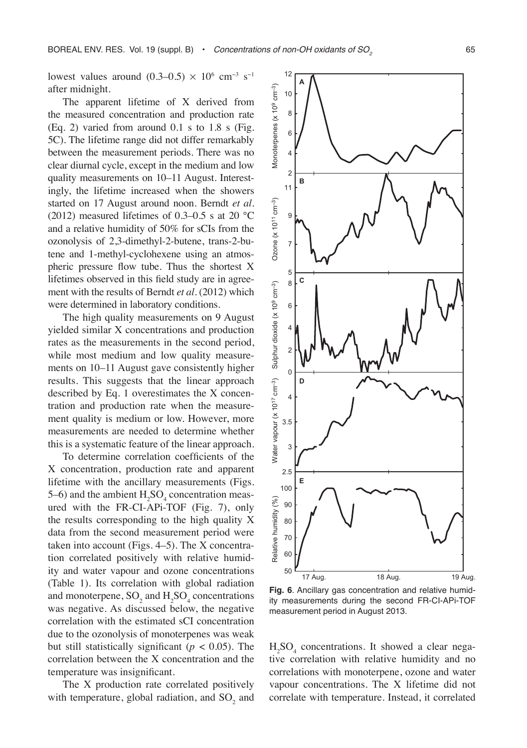10 12 **A**

lowest values around  $(0.3-0.5) \times 10^6$  cm<sup>-3</sup> s<sup>-1</sup> after midnight.

The apparent lifetime of X derived from the measured concentration and production rate (Eq. 2) varied from around 0.1 s to 1.8 s (Fig. 5C). The lifetime range did not differ remarkably between the measurement periods. There was no clear diurnal cycle, except in the medium and low quality measurements on 10–11 August. Interestingly, the lifetime increased when the showers started on 17 August around noon. Berndt *et al*. (2012) measured lifetimes of 0.3–0.5 s at 20  $^{\circ}$ C and a relative humidity of 50% for sCIs from the ozonolysis of 2,3-dimethyl-2-butene, trans-2-butene and 1-methyl-cyclohexene using an atmospheric pressure flow tube. Thus the shortest X lifetimes observed in this field study are in agreement with the results of Berndt *et al*. (2012) which were determined in laboratory conditions.

The high quality measurements on 9 August yielded similar X concentrations and production rates as the measurements in the second period, while most medium and low quality measurements on 10–11 August gave consistently higher results. This suggests that the linear approach described by Eq. 1 overestimates the X concentration and production rate when the measurement quality is medium or low. However, more measurements are needed to determine whether this is a systematic feature of the linear approach.

To determine correlation coefficients of the X concentration, production rate and apparent lifetime with the ancillary measurements (Figs. 5–6) and the ambient  $H_2SO_4$  concentration measured with the FR-CI-APi-TOF (Fig. 7), only the results corresponding to the high quality X data from the second measurement period were taken into account (Figs. 4–5). The X concentration correlated positively with relative humidity and water vapour and ozone concentrations (Table 1). Its correlation with global radiation and monoterpene,  $SO_2$  and  $H_2SO_4$  concentrations was negative. As discussed below, the negative correlation with the estimated sCI concentration due to the ozonolysis of monoterpenes was weak but still statistically significant ( $p < 0.05$ ). The correlation between the X concentration and the temperature was insignificant.

The X production rate correlated positively with temperature, global radiation, and  $SO_2$  and



**Fig. 6**. Ancillary gas concentration and relative humidity measurements during the second FR-CI-APi-TOF measurement period in August 2013.

 $H<sub>2</sub>SO<sub>4</sub>$  concentrations. It showed a clear negative correlation with relative humidity and no correlations with monoterpene, ozone and water vapour concentrations. The X lifetime did not correlate with temperature. Instead, it correlated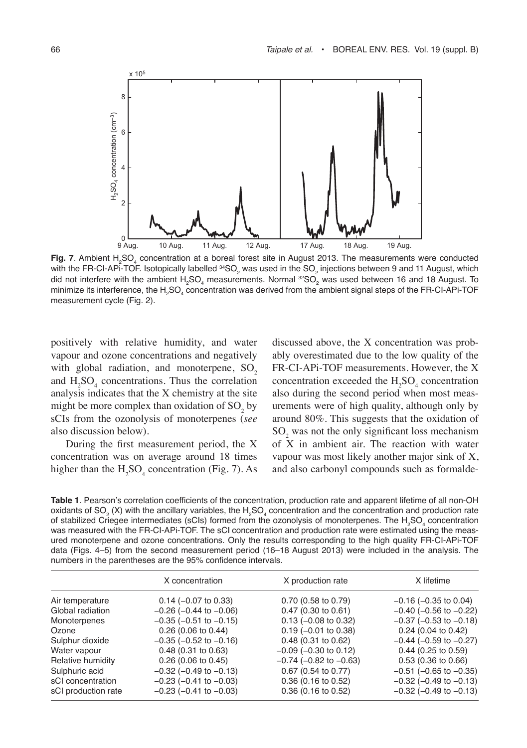

**Fig. 7**. Ambient H<sub>2</sub>SO<sub>4</sub> concentration at a boreal forest site in August 2013. The measurements were conducted with the FR-CI-APi-TOF. Isotopically labelled  $^{34}SO_2$  was used in the  $SO_2$  injections between 9 and 11 August, which did not interfere with the ambient  ${\rm H_2SO_4}$  measurements. Normal  $^{32}{\rm SO}_2$  was used between 16 and 18 August. To minimize its interference, the H<sub>2</sub>SO<sub>4</sub> concentration was derived from the ambient signal steps of the FR-CI-APi-TOF measurement cycle (Fig. 2).

positively with relative humidity, and water vapour and ozone concentrations and negatively with global radiation, and monoterpene,  $SO<sub>2</sub>$ and  $H_2SO_4$  concentrations. Thus the correlation analysis indicates that the X chemistry at the site might be more complex than oxidation of  $SO_2$  by sCIs from the ozonolysis of monoterpenes (*see* also discussion below).

During the first measurement period, the X concentration was on average around 18 times higher than the  $H_2SO_4$  concentration (Fig. 7). As discussed above, the X concentration was probably overestimated due to the low quality of the FR-CI-APi-TOF measurements. However, the X concentration exceeded the  $H_2SO_4$  concentration also during the second period when most measurements were of high quality, although only by around 80%. This suggests that the oxidation of  $SO<sub>2</sub>$  was not the only significant loss mechanism of  $X$  in ambient air. The reaction with water vapour was most likely another major sink of X, and also carbonyl compounds such as formalde-

**Table 1**. Pearson's correlation coefficients of the concentration, production rate and apparent lifetime of all non-OH oxidants of SO<sub>2</sub> (X) with the ancillary variables, the H<sub>2</sub>SO<sub>4</sub> concentration and the concentration and production rate of stabilized Criegee intermediates (sCIs) formed from the ozonolysis of monoterpenes. The  $\text{H}_{2} \text{SO}_4$  concentration was measured with the FR-CI-APi-TOF. The sCI concentration and production rate were estimated using the measured monoterpene and ozone concentrations. Only the results corresponding to the high quality FR-CI-APi-TOF data (Figs. 4–5) from the second measurement period (16–18 August 2013) were included in the analysis. The numbers in the parentheses are the 95% confidence intervals.

|                     | X concentration                | X production rate              | X lifetime                     |
|---------------------|--------------------------------|--------------------------------|--------------------------------|
| Air temperature     | $0.14 (-0.07 to 0.33)$         | 0.70 (0.58 to 0.79)            | $-0.16$ ( $-0.35$ to 0.04)     |
| Global radiation    | $-0.26$ ( $-0.44$ to $-0.06$ ) | $0.47$ (0.30 to 0.61)          | $-0.40$ ( $-0.56$ to $-0.22$ ) |
| Monoterpenes        | $-0.35$ ( $-0.51$ to $-0.15$ ) | $0.13$ (-0.08 to 0.32)         | $-0.37$ ( $-0.53$ to $-0.18$ ) |
| Ozone               | 0.26(0.06 to 0.44)             | $0.19$ (-0.01 to 0.38)         | $0.24$ (0.04 to 0.42)          |
| Sulphur dioxide     | $-0.35$ ( $-0.52$ to $-0.16$ ) | $0.48$ (0.31 to 0.62)          | $-0.44$ ( $-0.59$ to $-0.27$ ) |
| Water vapour        | $0.48(0.31)$ to $0.63$         | $-0.09$ ( $-0.30$ to 0.12)     | $0.44$ (0.25 to 0.59)          |
| Relative humidity   | 0.26(0.06 to 0.45)             | $-0.74$ ( $-0.82$ to $-0.63$ ) | 0.53(0.36 to 0.66)             |
| Sulphuric acid      | $-0.32$ ( $-0.49$ to $-0.13$ ) | $0.67$ (0.54 to 0.77)          | $-0.51$ ( $-0.65$ to $-0.35$ ) |
| sCI concentration   | $-0.23$ ( $-0.41$ to $-0.03$ ) | $0.36$ (0.16 to 0.52)          | $-0.32$ ( $-0.49$ to $-0.13$ ) |
| sCI production rate | $-0.23$ ( $-0.41$ to $-0.03$ ) | $0.36$ (0.16 to 0.52)          | $-0.32$ ( $-0.49$ to $-0.13$ ) |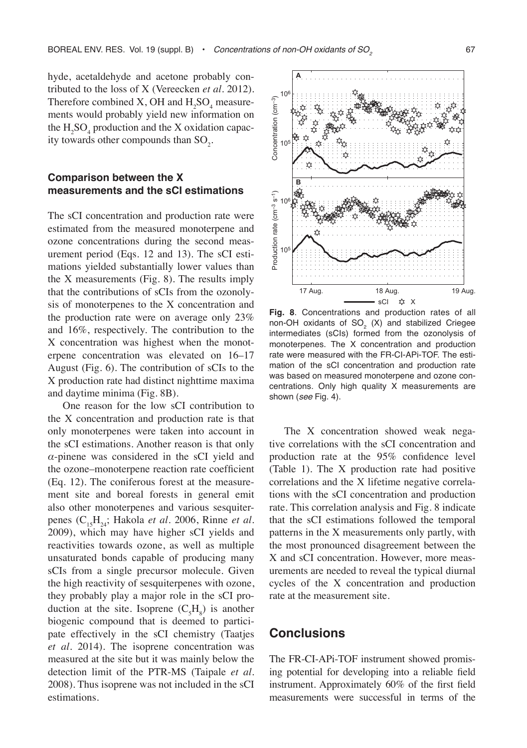hyde, acetaldehyde and acetone probably contributed to the loss of X (Vereecken *et al*. 2012). Therefore combined X, OH and  $H_2SO_4$  measurements would probably yield new information on the  $H_2SO_4$  production and the X oxidation capacity towards other compounds than  $\text{SO}_2$ .

#### **Comparison between the X measurements and the sCI estimations**

The sCI concentration and production rate were estimated from the measured monoterpene and ozone concentrations during the second measurement period (Eqs. 12 and 13). The sCI estimations yielded substantially lower values than the X measurements (Fig. 8). The results imply that the contributions of sCIs from the ozonolysis of monoterpenes to the X concentration and the production rate were on average only 23% and 16%, respectively. The contribution to the X concentration was highest when the monoterpene concentration was elevated on 16–17 August (Fig. 6). The contribution of sCIs to the X production rate had distinct nighttime maxima and daytime minima (Fig. 8B).

One reason for the low sCI contribution to the X concentration and production rate is that only monoterpenes were taken into account in the sCI estimations. Another reason is that only *α*-pinene was considered in the sCI yield and the ozone–monoterpene reaction rate coefficient (Eq. 12). The coniferous forest at the measurement site and boreal forests in general emit also other monoterpenes and various sesquiterpenes (C<sub>15</sub>H<sub>24</sub>; Hakola *et al.* 2006, Rinne *et al.* 2009), which may have higher sCI yields and reactivities towards ozone, as well as multiple unsaturated bonds capable of producing many sCIs from a single precursor molecule. Given the high reactivity of sesquiterpenes with ozone, they probably play a major role in the sCI production at the site. Isoprene  $(C_5H_8)$  is another biogenic compound that is deemed to participate effectively in the sCI chemistry (Taatjes *et al.* 2014). The isoprene concentration was measured at the site but it was mainly below the detection limit of the PTR-MS (Taipale *et al*. 2008). Thus isoprene was not included in the sCI estimations.



**Fig. 8**. Concentrations and production rates of all non-OH oxidants of  $SO<sub>2</sub>$  (X) and stabilized Criegee intermediates (sCIs) formed from the ozonolysis of monoterpenes. The X concentration and production rate were measured with the FR-CI-APi-TOF. The estimation of the sCI concentration and production rate was based on measured monoterpene and ozone concentrations. Only high quality X measurements are shown (*see* Fig. 4).

The X concentration showed weak negative correlations with the sCI concentration and production rate at the 95% confidence level (Table 1). The X production rate had positive correlations and the X lifetime negative correlations with the sCI concentration and production rate. This correlation analysis and Fig. 8 indicate that the sCI estimations followed the temporal patterns in the X measurements only partly, with the most pronounced disagreement between the X and sCI concentration. However, more measurements are needed to reveal the typical diurnal cycles of the X concentration and production rate at the measurement site.

## **Conclusions**

The FR-CI-APi-TOF instrument showed promising potential for developing into a reliable field instrument. Approximately 60% of the first field measurements were successful in terms of the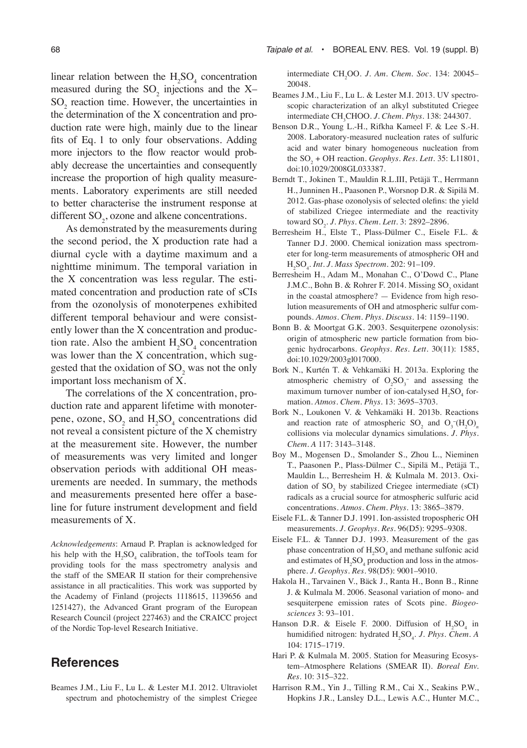linear relation between the  $H_2SO_4$  concentration measured during the  $SO_2$  injections and the X- $SO<sub>2</sub>$  reaction time. However, the uncertainties in the determination of the X concentration and production rate were high, mainly due to the linear fits of Eq. 1 to only four observations. Adding more injectors to the flow reactor would probably decrease the uncertainties and consequently increase the proportion of high quality measurements. Laboratory experiments are still needed to better characterise the instrument response at different  $\text{SO}_2$ , ozone and alkene concentrations.

As demonstrated by the measurements during the second period, the X production rate had a diurnal cycle with a daytime maximum and a nighttime minimum. The temporal variation in the X concentration was less regular. The estimated concentration and production rate of sCIs from the ozonolysis of monoterpenes exhibited different temporal behaviour and were consistently lower than the X concentration and production rate. Also the ambient  $H_2SO_4$  concentration was lower than the X concentration, which suggested that the oxidation of  $SO_2$  was not the only important loss mechanism of X.

The correlations of the X concentration, production rate and apparent lifetime with monoterpene, ozone,  $SO_2$  and  $H_2SO_4$  concentrations did not reveal a consistent picture of the X chemistry at the measurement site. However, the number of measurements was very limited and longer observation periods with additional OH measurements are needed. In summary, the methods and measurements presented here offer a baseline for future instrument development and field measurements of X.

*Acknowledgements*: Arnaud P. Praplan is acknowledged for his help with the  $H_2SO_4$  calibration, the tofTools team for providing tools for the mass spectrometry analysis and the staff of the SMEAR II station for their comprehensive assistance in all practicalities. This work was supported by the Academy of Finland (projects 1118615, 1139656 and 1251427), the Advanced Grant program of the European Research Council (project 227463) and the CRAICC project of the Nordic Top-level Research Initiative.

## **References**

Beames J.M., Liu F., Lu L. & Lester M.I. 2012. Ultraviolet spectrum and photochemistry of the simplest Criegee

68 *Taipale et al.* • Boreal Env. Res. Vol. 19 (suppl. B)

intermediate CH2 OO. *J. Am. Chem. Soc.* 134: 20045– 20048.

- Beames J.M., Liu F., Lu L. & Lester M.I. 2013. UV spectroscopic characterization of an alkyl substituted Criegee intermediate CH<sub>3</sub>CHOO. *J. Chem. Phys.* 138: 244307.
- Benson D.R., Young L.-H., Rifkha Kameel F. & Lee S.-H. 2008. Laboratory-measured nucleation rates of sulfuric acid and water binary homogeneous nucleation from the  $SO_2$  + OH reaction. *Geophys. Res. Lett.* 35: L11801, doi:10.1029/2008GL033387.
- Berndt T., Jokinen T., Mauldin R.L.III, Petäjä T., Herrmann H., Junninen H., Paasonen P., Worsnop D.R. & Sipilä M. 2012. Gas-phase ozonolysis of selected olefins: the yield of stabilized Criegee intermediate and the reactivity toward SO2 . *J. Phys. Chem. Lett.* 3: 2892–2896.
- Berresheim H., Elste T., Plass-Dülmer C., Eisele F.L. & Tanner D.J. 2000. Chemical ionization mass spectrometer for long-term measurements of atmospheric OH and H2 SO4 . *Int. J. Mass Spectrom.* 202: 91–109.
- Berresheim H., Adam M., Monahan C., O'Dowd C., Plane J.M.C., Bohn B. & Rohrer F. 2014. Missing  $SO_2$  oxidant in the coastal atmosphere? — Evidence from high resolution measurements of OH and atmospheric sulfur compounds. *Atmos. Chem. Phys. Discuss.* 14: 1159–1190.
- Bonn B. & Moortgat G.K. 2003. Sesquiterpene ozonolysis: origin of atmospheric new particle formation from biogenic hydrocarbons. *Geophys. Res. Lett.* 30(11): 1585, doi:10.1029/2003gl017000.
- Bork N., Kurtén T. & Vehkamäki H. 2013a. Exploring the atmospheric chemistry of  $O_2SO_3^-$  and assessing the maximum turnover number of ion-catalysed  $H_2SO_4$  formation. *Atmos. Chem. Phys.* 13: 3695–3703.
- Bork N., Loukonen V. & Vehkamäki H. 2013b. Reactions and reaction rate of atmospheric  $SO_2$  and  $O_3^- (H_2 O)_n$ collisions via molecular dynamics simulations. *J. Phys. Chem. A* 117: 3143–3148.
- Boy M., Mogensen D., Smolander S., Zhou L., Nieminen T., Paasonen P., Plass-Dülmer C., Sipilä M., Petäjä T., Mauldin L., Berresheim H. & Kulmala M. 2013. Oxidation of  $SO_2$  by stabilized Criegee intermediate (sCI) radicals as a crucial source for atmospheric sulfuric acid concentrations. *Atmos. Chem. Phys.* 13: 3865–3879.
- Eisele F.L. & Tanner D.J. 1991. Ion-assisted tropospheric OH measurements. *J. Geophys. Res.* 96(D5): 9295–9308.
- Eisele F.L. & Tanner D.J. 1993. Measurement of the gas phase concentration of  $H_2SO_4$  and methane sulfonic acid and estimates of  $H_2SO_4$  production and loss in the atmosphere. *J. Geophys. Res.* 98(D5): 9001–9010.
- Hakola H., Tarvainen V., Bäck J., Ranta H., Bonn B., Rinne J. & Kulmala M. 2006. Seasonal variation of mono- and sesquiterpene emission rates of Scots pine. *Biogeosciences* 3: 93–101.
- Hanson D.R. & Eisele F. 2000. Diffusion of  $H_2SO_4$  in humidified nitrogen: hydrated H<sub>2</sub>SO<sub>4</sub>. *J. Phys. Chem. A* 104: 1715–1719.
- Hari P. & Kulmala M. 2005. Station for Measuring Ecosystem–Atmosphere Relations (SMEAR II). *Boreal Env. Res.* 10: 315–322.
- Harrison R.M., Yin J., Tilling R.M., Cai X., Seakins P.W., Hopkins J.R., Lansley D.L., Lewis A.C., Hunter M.C.,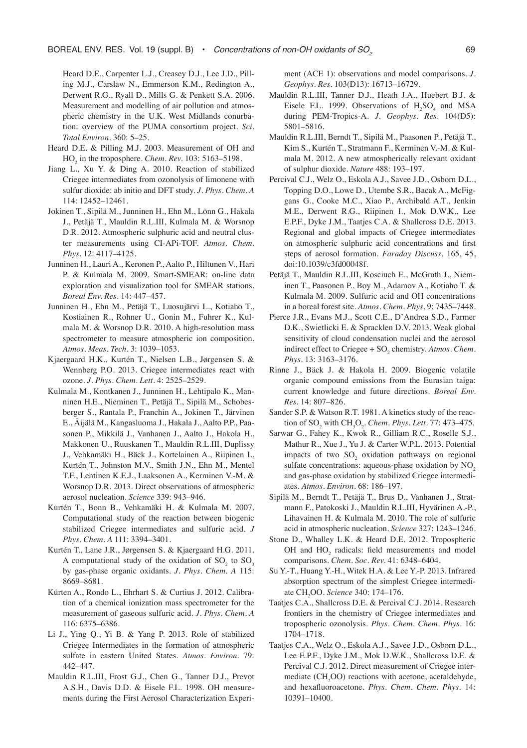Heard D.E., Carpenter L.J., Creasey D.J., Lee J.D., Pilling M.J., Carslaw N., Emmerson K.M., Redington A., Derwent R.G., Ryall D., Mills G. & Penkett S.A. 2006. Measurement and modelling of air pollution and atmospheric chemistry in the U.K. West Midlands conurbation: overview of the PUMA consortium project. *Sci. Total Environ.* 360: 5–25.

- Heard D.E. & Pilling M.J. 2003. Measurement of OH and  $HO<sub>2</sub>$  in the troposphere. *Chem. Rev.* 103: 5163–5198.
- Jiang L., Xu Y. & Ding A. 2010. Reaction of stabilized Criegee intermediates from ozonolysis of limonene with sulfur dioxide: ab initio and DFT study. *J. Phys. Chem. A* 114: 12452–12461.
- Jokinen T., Sipilä M., Junninen H., Ehn M., Lönn G., Hakala J., Petäjä T., Mauldin R.L.III, Kulmala M. & Worsnop D.R. 2012. Atmospheric sulphuric acid and neutral cluster measurements using CI-APi-TOF. *Atmos. Chem. Phys.* 12: 4117–4125.
- Junninen H., Lauri A., Keronen P., Aalto P., Hiltunen V., Hari P. & Kulmala M. 2009. Smart-SMEAR: on-line data exploration and visualization tool for SMEAR stations. *Boreal Env. Res.* 14: 447–457.
- Junninen H., Ehn M., Petäjä T., Luosujärvi L., Kotiaho T., Kostiainen R., Rohner U., Gonin M., Fuhrer K., Kulmala M. & Worsnop D.R. 2010. A high-resolution mass spectrometer to measure atmospheric ion composition. *Atmos. Meas. Tech.* 3: 1039–1053.
- Kjaergaard H.K., Kurtén T., Nielsen L.B., Jørgensen S. & Wennberg P.O. 2013. Criegee intermediates react with ozone. *J. Phys. Chem. Lett.* 4: 2525–2529.
- Kulmala M., Kontkanen J., Junninen H., Lehtipalo K., Manninen H.E., Nieminen T., Petäjä T., Sipilä M., Schobesberger S., Rantala P., Franchin A., Jokinen T., Järvinen E., Äijälä M., Kangasluoma J., Hakala J., Aalto P.P., Paasonen P., Mikkilä J., Vanhanen J., Aalto J., Hakola H., Makkonen U., Ruuskanen T., Mauldin R.L.III, Duplissy J., Vehkamäki H., Bäck J., Kortelainen A., Riipinen I., Kurtén T., Johnston M.V., Smith J.N., Ehn M., Mentel T.F., Lehtinen K.E.J., Laaksonen A., Kerminen V.-M. & Worsnop D.R. 2013. Direct observations of atmospheric aerosol nucleation. *Science* 339: 943–946.
- Kurtén T., Bonn B., Vehkamäki H. & Kulmala M. 2007. Computational study of the reaction between biogenic stabilized Criegee intermediates and sulfuric acid. *J Phys. Chem. A* 111: 3394–3401.
- Kurtén T., Lane J.R., Jørgensen S. & Kjaergaard H.G. 2011. A computational study of the oxidation of  $SO_2$  to  $SO_3$ by gas-phase organic oxidants. *J. Phys. Chem. A* 115: 8669–8681.
- Kürten A., Rondo L., Ehrhart S. & Curtius J. 2012. Calibration of a chemical ionization mass spectrometer for the measurement of gaseous sulfuric acid. *J. Phys. Chem. A* 116: 6375–6386.
- Li J., Ying Q., Yi B. & Yang P. 2013. Role of stabilized Criegee Intermediates in the formation of atmospheric sulfate in eastern United States. *Atmos. Environ.* 79: 442–447.
- Mauldin R.L.III, Frost G.J., Chen G., Tanner D.J., Prevot A.S.H., Davis D.D. & Eisele F.L. 1998. OH measurements during the First Aerosol Characterization Experi-

ment (ACE 1): observations and model comparisons. *J. Geophys. Res.* 103(D13): 16713–16729.

- Mauldin R.L.III, Tanner D.J., Heath J.A., Huebert B.J. & Eisele F.L. 1999. Observations of  $H_2SO_4$  and MSA during PEM-Tropics-A. *J. Geophys. Res.* 104(D5): 5801–5816.
- Mauldin R.L.III, Berndt T., Sipilä M., Paasonen P., Petäjä T., Kim S., Kurtén T., Stratmann F., Kerminen V.-M. & Kulmala M. 2012. A new atmospherically relevant oxidant of sulphur dioxide. *Nature* 488: 193–197.
- Percival C.J., Welz O., Eskola A.J., Savee J.D., Osborn D.L., Topping D.O., Lowe D., Utembe S.R., Bacak A., McFiggans G., Cooke M.C., Xiao P., Archibald A.T., Jenkin M.E., Derwent R.G., Riipinen I., Mok D.W.K., Lee E.P.F., Dyke J.M., Taatjes C.A. & Shallcross D.E. 2013. Regional and global impacts of Criegee intermediates on atmospheric sulphuric acid concentrations and first steps of aerosol formation. *Faraday Discuss.* 165, 45, doi:10.1039/c3fd00048f.
- Petäjä T., Mauldin R.L.III, Kosciuch E., McGrath J., Nieminen T., Paasonen P., Boy M., Adamov A., Kotiaho T. & Kulmala M. 2009. Sulfuric acid and OH concentrations in a boreal forest site. *Atmos. Chem. Phys.* 9: 7435–7448.
- Pierce J.R., Evans M.J., Scott C.E., D'Andrea S.D., Farmer D.K., Swietlicki E. & Spracklen D.V. 2013. Weak global sensitivity of cloud condensation nuclei and the aerosol indirect effect to Criegee + SO<sub>2</sub> chemistry. *Atmos. Chem. Phys.* 13: 3163–3176.
- Rinne J., Bäck J. & Hakola H. 2009. Biogenic volatile organic compound emissions from the Eurasian taiga: current knowledge and future directions. *Boreal Env. Res.* 14: 807–826.
- Sander S.P. & Watson R.T. 1981. A kinetics study of the reaction of  $\text{SO}_2$  with  $\text{CH}_3\text{O}_2$ . *Chem. Phys. Lett.* 77: 473–475.
- Sarwar G., Fahey K., Kwok R., Gilliam R.C., Roselle S.J., Mathur R., Xue J., Yu J. & Carter W.P.L. 2013. Potential impacts of two  $SO_2$  oxidation pathways on regional sulfate concentrations: aqueous-phase oxidation by NO<sub>2</sub> and gas-phase oxidation by stabilized Criegee intermediates. *Atmos. Environ.* 68: 186–197.
- Sipilä M., Berndt T., Petäjä T., Brus D., Vanhanen J., Stratmann F., Patokoski J., Mauldin R.L.III, Hyvärinen A.-P., Lihavainen H. & Kulmala M. 2010. The role of sulfuric acid in atmospheric nucleation. *Science* 327: 1243–1246.
- Stone D., Whalley L.K. & Heard D.E. 2012. Tropospheric OH and  $HO_2$  radicals: field measurements and model comparisons. *Chem. Soc. Rev.* 41: 6348–6404.
- Su Y.-T., Huang Y.-H., Witek H.A. & Lee Y.-P. 2013. Infrared absorption spectrum of the simplest Criegee intermediate CH2 OO. *Science* 340: 174–176.
- Taatjes C.A., Shallcross D.E. & Percival C.J. 2014. Research frontiers in the chemistry of Criegee intermediates and tropospheric ozonolysis. *Phys. Chem. Chem. Phys.* 16: 1704–1718.
- Taatjes C.A., Welz O., Eskola A.J., Savee J.D., Osborn D.L., Lee E.P.F., Dyke J.M., Mok D.W.K., Shallcross D.E. & Percival C.J. 2012. Direct measurement of Criegee intermediate  $(CH<sub>2</sub>OO)$  reactions with acetone, acetaldehyde, and hexafluoroacetone. *Phys. Chem. Chem. Phys.* 14: 10391–10400.